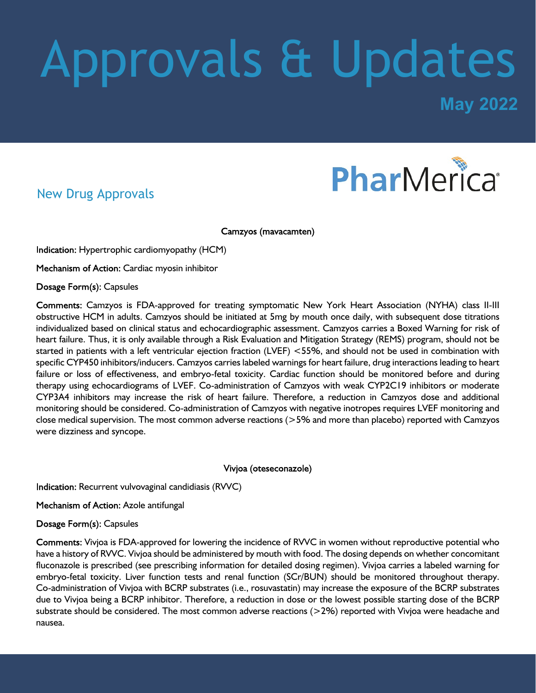# Approvals & Updates

**May 2022**

## PharMerica®

#### New Drug Approvals

Camzyos (mavacamten)

Indication: Hypertrophic cardiomyopathy (HCM)

Mechanism of Action: Cardiac myosin inhibitor

Dosage Form(s): Capsules

Comments: Camzyos is FDA-approved for treating symptomatic New York Heart Association (NYHA) class II-III obstructive HCM in adults. Camzyos should be initiated at 5mg by mouth once daily, with subsequent dose titrations individualized based on clinical status and echocardiographic assessment. Camzyos carries a Boxed Warning for risk of heart failure. Thus, it is only available through a Risk Evaluation and Mitigation Strategy (REMS) program, should not be started in patients with a left ventricular ejection fraction (LVEF) <55%, and should not be used in combination with specific CYP450 inhibitors/inducers. Camzyos carries labeled warnings for heart failure, drug interactions leading to heart failure or loss of effectiveness, and embryo-fetal toxicity. Cardiac function should be monitored before and during therapy using echocardiograms of LVEF. Co-administration of Camzyos with weak CYP2C19 inhibitors or moderate CYP3A4 inhibitors may increase the risk of heart failure. Therefore, a reduction in Camzyos dose and additional monitoring should be considered. Co-administration of Camzyos with negative inotropes requires LVEF monitoring and close medical supervision. The most common adverse reactions (>5% and more than placebo) reported with Camzyos were dizziness and syncope.

#### Vivjoa (oteseconazole)

Indication: Recurrent vulvovaginal candidiasis (RVVC)

Mechanism of Action: Azole antifungal

#### Dosage Form(s): Capsules

Comments: Vivjoa is FDA-approved for lowering the incidence of RVVC in women without reproductive potential who have a history of RVVC. Vivjoa should be administered by mouth with food. The dosing depends on whether concomitant fluconazole is prescribed (see prescribing information for detailed dosing regimen). Vivjoa carries a labeled warning for embryo-fetal toxicity. Liver function tests and renal function (SCr/BUN) should be monitored throughout therapy. Co-administration of Vivjoa with BCRP substrates (i.e., rosuvastatin) may increase the exposure of the BCRP substrates due to Vivjoa being a BCRP inhibitor. Therefore, a reduction in dose or the lowest possible starting dose of the BCRP substrate should be considered. The most common adverse reactions (>2%) reported with Vivjoa were headache and nausea.